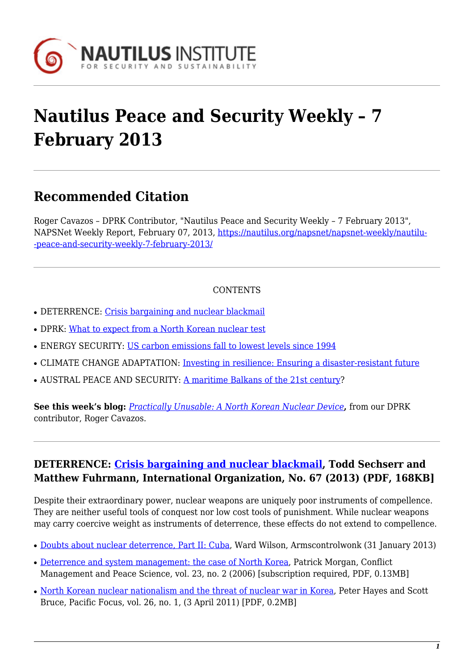

# **Nautilus Peace and Security Weekly – 7 February 2013**

# **Recommended Citation**

Roger Cavazos – DPRK Contributor, "Nautilus Peace and Security Weekly – 7 February 2013", NAPSNet Weekly Report, February 07, 2013, [https://nautilus.org/napsnet/napsnet-weekly/nautilu-](https://nautilus.org/napsnet/napsnet-weekly/nautilus-peace-and-security-weekly-7-february-2013/) [-peace-and-security-weekly-7-february-2013/](https://nautilus.org/napsnet/napsnet-weekly/nautilus-peace-and-security-weekly-7-february-2013/)

#### CONTENTS

- DETERRENCE: [Crisis bargaining and nuclear blackmail](#page-0-0)
- DPRK: [What to expect from a North Korean nuclear test](#page-1-0)
- ENERGY SECURITY: [US carbon emissions fall to lowest levels since 1994](#page-1-1)
- CLIMATE CHANGE ADAPTATION: [Investing in resilience: Ensuring a disaster-resistant future](#page-1-2)
- AUSTRAL PEACE AND SECURITY: [A maritime Balkans of the 21st century?](#page-2-0)

**See this week's blog:** *[Practically Unusable: A North Korean Nuclear Device](#page-1-3)***,** from our DPRK contributor, Roger Cavazos.

## <span id="page-0-0"></span>**DETERRENCE: [Crisis bargaining and nuclear blackmail](http://faculty.virginia.edu/tsechser/Sechser-Fuhrmann-IO-2013.pdf), Todd Sechserr and Matthew Fuhrmann, International Organization, No. 67 (2013) (PDF, 168KB]**

Despite their extraordinary power, nuclear weapons are uniquely poor instruments of compellence. They are neither useful tools of conquest nor low cost tools of punishment. While nuclear weapons may carry coercive weight as instruments of deterrence, these effects do not extend to compellence.

- [Doubts about nuclear deterrence, Part II: Cuba,](http://lewis.armscontrolwonk.com/) Ward Wilson, Armscontrolwonk (31 January 2013)
- [Deterrence and system management: the case of North Korea,](http://cmp.sagepub.com/content/23/2/121.abstract) Patrick Morgan, Conflict Management and Peace Science, vol. 23, no. 2 (2006) [subscription required, PDF, 0.13MB]
- [North Korean nuclear nationalism and the threat of nuclear war in Korea](http://onlinelibrary.wiley.com/doi/10.1111/j.1976-5118.2011.01056.x/full), Peter Hayes and Scott Bruce, Pacific Focus, vol. 26, no. 1, (3 April 2011) [PDF, 0.2MB]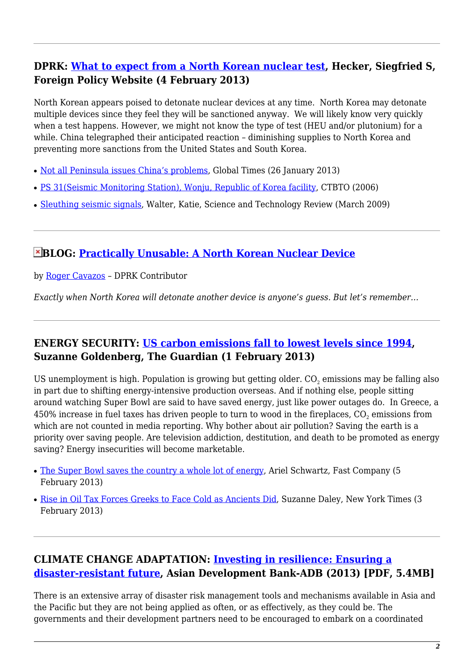# <span id="page-1-0"></span>**DPRK: [What to expect from a North Korean nuclear test,](http://www.foreignpolicy.com/articles/2013/02/04/what_to_expect_from_a_north_korean_nuclear_test?page=0,0) Hecker, Siegfried S, Foreign Policy Website (4 February 2013)**

North Korean appears poised to detonate nuclear devices at any time. North Korea may detonate multiple devices since they feel they will be sanctioned anyway. We will likely know very quickly when a test happens. However, we might not know the type of test (HEU and/or plutonium) for a while. China telegraphed their anticipated reaction – diminishing supplies to North Korea and preventing more sanctions from the United States and South Korea.

- [Not all Peninsula issues China's problems](http://english.peopledaily.com.cn/90883/8108775.html), Global Times (26 January 2013)
- [PS 31\(Seismic Monitoring Station\), Wonju, Republic of Korea facility](http://www.ctbto.org/index.php?id=188), CTBTO (2006)
- [Sleuthing seismic signals,](https://str.llnl.gov/Mar09/walter.html) Walter, Katie, Science and Technology Review (March 2009)

#### <span id="page-1-3"></span>**BLOG: [Practically Unusable: A North Korean Nuclear Device](https://nautilus.org/?p=29103)**

by [Roger Cavazos](https://nautilus.org/network/associates/roger-cavazos/) – DPRK Contributor

*Exactly when North Korea will detonate another device is anyone's guess. But let's remember…*

## <span id="page-1-1"></span>**ENERGY SECURITY: [US carbon emissions fall to lowest levels since 1994](http://www.guardian.co.uk/environment/2013/feb/01/us-carbon-emissions-lowest-levels), Suzanne Goldenberg, The Guardian (1 February 2013)**

US unemployment is high. Population is growing but getting older.  $\mathrm{CO}_2$  emissions may be falling also in part due to shifting energy-intensive production overseas. And if nothing else, people sitting around watching Super Bowl are said to have saved energy, just like power outages do. In Greece, a 450% increase in fuel taxes has driven people to turn to wood in the fireplaces, CO $_{\text{2}}$  emissions from which are not counted in media reporting. Why bother about air pollution? Saving the earth is a priority over saving people. Are television addiction, destitution, and death to be promoted as energy saving? Energy insecurities will become marketable.

- [The Super Bowl saves the country a whole lot of energy](http://www.fastcoexist.com/1681308/the-super-bowl-saves-the-country-a-whole-lot-of-energy), Ariel Schwartz, Fast Company (5) February 2013)
- [Rise in Oil Tax Forces Greeks to Face Cold as Ancients Did](http://www.nytimes.com/2013/02/04/world/europe/oil-tax-forces-greeks-to-fight-winter-with-fire.html?ref=europe&_r=0), Suzanne Daley, New York Times (3 February 2013)

## <span id="page-1-2"></span>**CLIMATE CHANGE ADAPTATION: [Investing in resilience: Ensuring a](http://www.adb.org/sites/default/files/pub/2013/investing-in-resilience.pdf) [disaster-resistant future](http://www.adb.org/sites/default/files/pub/2013/investing-in-resilience.pdf), Asian Development Bank-ADB (2013) [PDF, 5.4MB]**

There is an extensive array of disaster risk management tools and mechanisms available in Asia and the Pacific but they are not being applied as often, or as effectively, as they could be. The governments and their development partners need to be encouraged to embark on a coordinated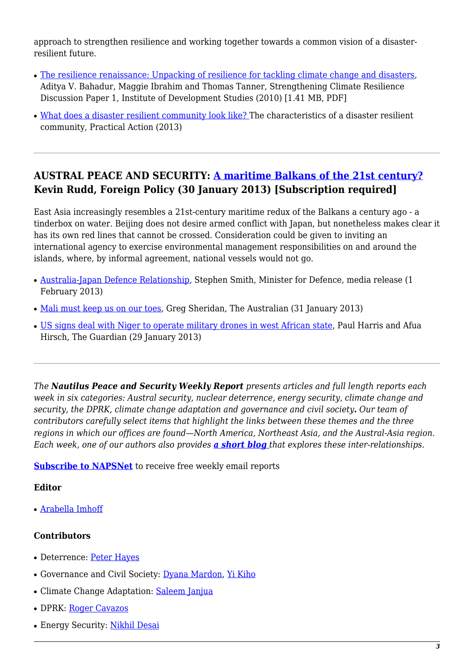approach to strengthen resilience and working together towards a common vision of a disasterresilient future.

- [The resilience renaissance: Unpacking of resilience for tackling climate change and disasters,](http://community.eldis.org/.59e0d267/resilience-renaissance.pdf) Aditya V. Bahadur, Maggie Ibrahim and Thomas Tanner, Strengthening Climate Resilience Discussion Paper 1, Institute of Development Studies (2010) [1.41 MB, PDF]
- [What does a disaster resilient community look like?](http://practicalaction.org/disaster-resilient-community-2) The characteristics of a disaster resilient community, Practical Action (2013)

## <span id="page-2-0"></span>**AUSTRAL PEACE AND SECURITY: [A maritime Balkans of the 21st century?](http://www.foreignpolicy.com/articles/2013/01/30/a_maritime_balkans_of_the_21st_century_east_asia) Kevin Rudd, Foreign Policy (30 January 2013) [Subscription required]**

East Asia increasingly resembles a 21st-century maritime redux of the Balkans a century ago - a tinderbox on water. Beijing does not desire armed conflict with Japan, but nonetheless makes clear it has its own red lines that cannot be crossed. Consideration could be given to inviting an international agency to exercise environmental management responsibilities on and around the islands, where, by informal agreement, national vessels would not go.

- [Australia-Japan Defence Relationship](http://www.minister.defence.gov.au/2013/02/01/minister-for-defence-australia-japan-defence-relationship), Stephen Smith, Minister for Defence, media release (1 February 2013)
- [Mali must keep us on our toes,](http://www.theaustralian.com.au/opinion/columnists/mali-must-keep-us-on-our-toes/story-e6frg76f-1226565417616) Greg Sheridan, The Australian (31 January 2013)
- [US signs deal with Niger to operate military drones in west African state,](http://www.guardian.co.uk/world/2013/jan/29/niger-approves-american-surveillance-drones) Paul Harris and Afua Hirsch, The Guardian (29 January 2013)

*The Nautilus Peace and Security Weekly Report presents articles and full length reports each week in six categories: Austral security, nuclear deterrence, energy security, climate change and security, the DPRK, climate change adaptation and governance and civil society. Our team of contributors carefully select items that highlight the links between these themes and the three regions in which our offices are found—North America, Northeast Asia, and the Austral-Asia region. Each week, one of our authors also provides [a short blog](https://nautilus.org/?p=29103) that explores these inter-relationships.*

**[Subscribe to NAPSNet](http://www.nautilus.org/mailing-lists/sign-up-for-mailing-lists/)** to receive free weekly email reports

#### **Editor**

• [Arabella Imhoff](https://nautilus.org/about/staff/arabella-imhoff/)

#### **Contributors**

- Deterrence: [Peter Hayes](http://www.nautilus.org/about/staff/peter-hayes)
- Governance and Civil Society: [Dyana Mardon](http://www.nautilus.org/offices/nautilus-ari/dyana-mardon), [Yi Kiho](http://www.nautilus.org/about/staff/kiho.html)
- Climate Change Adaptation: [Saleem Janjua](http://www.nautilus.org/about/associates/saleem-janjua)
- DPRK: [Roger Cavazos](https://nautilus.org/about/associates/roger-cavazos/)
- Energy Security: [Nikhil Desai](https://nautilus.org/network/associates/nikhil-desai/)